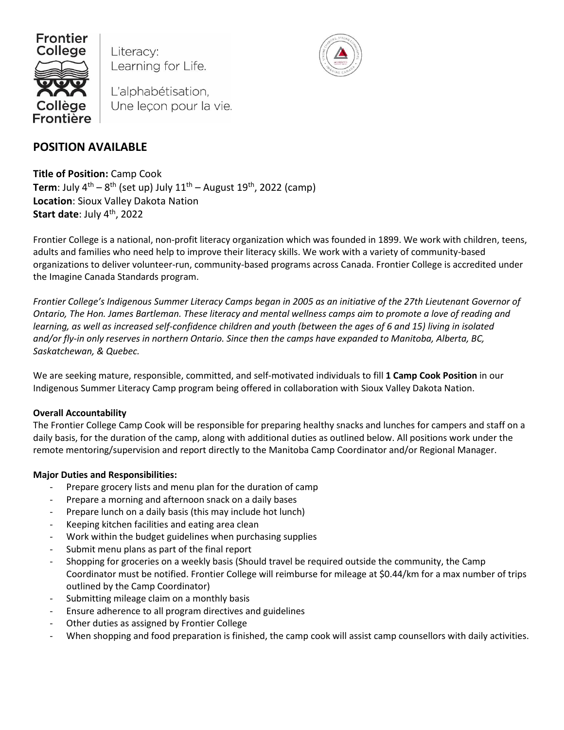

Literacy: Learning for Life.

L'alphabétisation, Une leçon pour la vie.

# **POSITION AVAILABLE**

**Title of Position:** Camp Cook **Term**: July 4<sup>th</sup> – 8<sup>th</sup> (set up) July 11<sup>th</sup> – August 19<sup>th</sup>, 2022 (camp) **Location**: Sioux Valley Dakota Nation **Start date**: July 4 th, 2022

Frontier College is a national, non-profit literacy organization which was founded in 1899. We work with children, teens, adults and families who need help to improve their literacy skills. We work with a variety of community-based organizations to deliver volunteer-run, community-based programs across Canada. Frontier College is accredited under the Imagine Canada Standards program.

*Frontier College's Indigenous Summer Literacy Camps began in 2005 as an initiative of the 27th Lieutenant Governor of Ontario, The Hon. James Bartleman. These literacy and mental wellness camps aim to promote a love of reading and learning, as well as increased self-confidence children and youth (between the ages of 6 and 15) living in isolated and/or fly-in only reserves in northern Ontario. Since then the camps have expanded to Manitoba, Alberta, BC, Saskatchewan, & Quebec.* 

We are seeking mature, responsible, committed, and self-motivated individuals to fill **1 Camp Cook Position** in our Indigenous Summer Literacy Camp program being offered in collaboration with Sioux Valley Dakota Nation.

# **Overall Accountability**

The Frontier College Camp Cook will be responsible for preparing healthy snacks and lunches for campers and staff on a daily basis, for the duration of the camp, along with additional duties as outlined below. All positions work under the remote mentoring/supervision and report directly to the Manitoba Camp Coordinator and/or Regional Manager.

# **Major Duties and Responsibilities:**

- Prepare grocery lists and menu plan for the duration of camp
- Prepare a morning and afternoon snack on a daily bases
- Prepare lunch on a daily basis (this may include hot lunch)
- Keeping kitchen facilities and eating area clean
- Work within the budget guidelines when purchasing supplies
- Submit menu plans as part of the final report
- Shopping for groceries on a weekly basis (Should travel be required outside the community, the Camp Coordinator must be notified. Frontier College will reimburse for mileage at \$0.44/km for a max number of trips outlined by the Camp Coordinator)
- Submitting mileage claim on a monthly basis
- Ensure adherence to all program directives and guidelines
- Other duties as assigned by Frontier College
- When shopping and food preparation is finished, the camp cook will assist camp counsellors with daily activities.